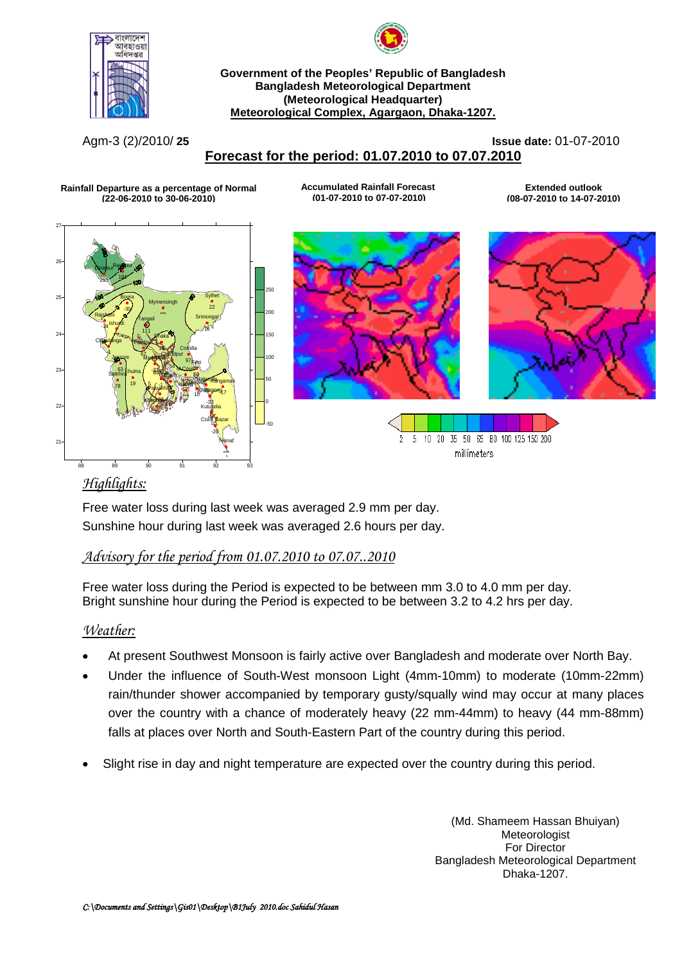



### **Government of the Peoples' Republic of Bangladesh Bangladesh Meteorological Department (Meteorological Headquarter) Meteorological Complex, Agargaon, Dhaka-1207.**

Agm-3 (2)/2010/ **25 Issue date:** 01-07-2010

# **Forecast for the period: 01.07.2010 to 07.07.2010**

**Rainfall Departure as a percentage of Normal (22-06-2010 to 30-06-2010)**

**Accumulated Rainfall Forecast (01-07-2010 to 07-07-2010)**

**Extended outlook (08-07-2010 to 14-07-2010)**







5 10 20 35 50 65 80 100 125 150 200  $\overline{2}$ millimeters

## *Highlights:*

Free water loss during last week was averaged 2.9 mm per day. Sunshine hour during last week was averaged 2.6 hours per day.

## *Advisory for the period from 01.07.2010 to 07.07..2010*

Free water loss during the Period is expected to be between mm 3.0 to 4.0 mm per day. Bright sunshine hour during the Period is expected to be between 3.2 to 4.2 hrs per day.

## *Weather:*

- At present Southwest Monsoon is fairly active over Bangladesh and moderate over North Bay.
- Under the influence of South-West monsoon Light (4mm-10mm) to moderate (10mm-22mm) rain/thunder shower accompanied by temporary gusty/squally wind may occur at many places over the country with a chance of moderately heavy (22 mm-44mm) to heavy (44 mm-88mm) falls at places over North and South-Eastern Part of the country during this period.
- Slight rise in day and night temperature are expected over the country during this period.

(Md. Shameem Hassan Bhuiyan) **Meteorologist** For Director Bangladesh Meteorological Department Dhaka-1207.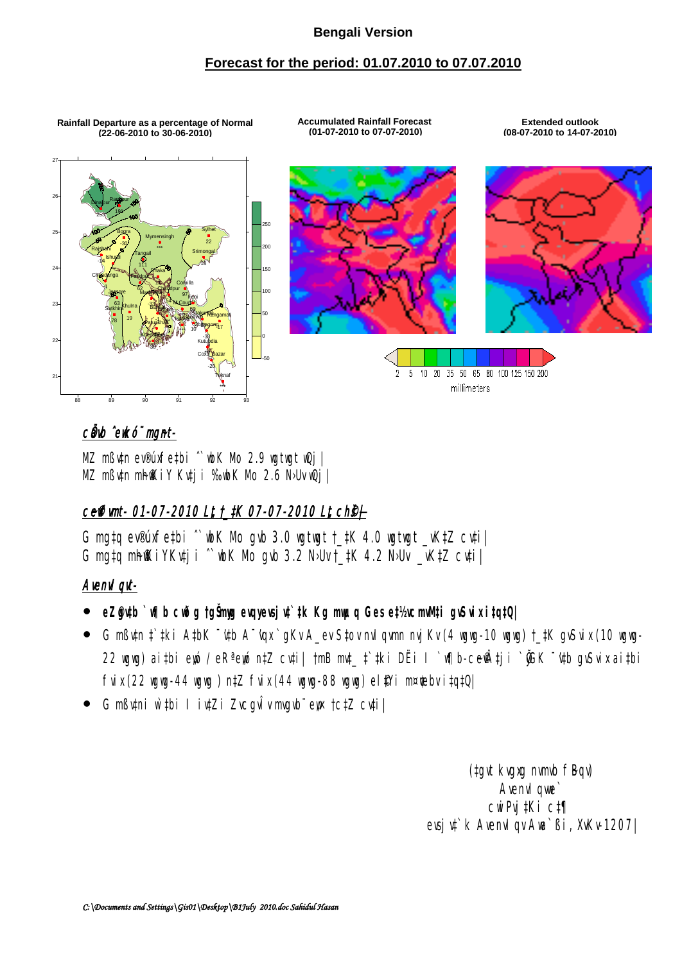## **Bengali Version**

## **Forecast for the period: 01.07.2010 to 07.07.2010**

**Rainfall Departure as a percentage of Normal (22-06-2010 to 30-06-2010)**

**Accumulated Rainfall Forecast (01-07-2010 to 07-07-2010)**

**Extended outlook (08-07-2010 to 14-07-2010)**







35 50 65 80 100 125 150 200  $\mathbf{F}_\mathrm{I}$  $10 - 20$ - 7 millimeters

# cůnb ^ewkó¨ mgnt-

MZ mßv‡n ev®úxfe‡bi ^wbK Mo 2.9 wgtwgt wQj |  $MZ$  m $B$ utn mh $R$ i Y Kutji ‰wbK Mo 2.6 N›Uv wQj |

# ceffimt- 01-07-2010 Lt t\_tK 07-07-2010 Lt ch§+

G mg‡q ev®úxfe‡bi ˆ`wbK Mo gvb 3.0 wgtwgt †\_‡K 4.0 wgtwgt \_vK‡Z cv‡i| G mg‡q mh $\mathbb K$ iYKu‡ji ^`wbK Mo gvb 3.2 N>Uv †\_‡K 4.2 N>Uv \_vK‡Z cu‡i |

## Avenvl qvt-

- **•** eZ@ytb `w¶b cwðg tgŠmyg evqyevsjut`‡k Kg mwµq Ges e‡½vcmwM‡i gvSvix i‡q‡Q|
- G mßv‡n ‡`‡ki A‡bK ¯'v‡b A¯'vqx `gKv A\_ev S‡ov nvIqvmn nvjKv (4 wgwg-10 wgwg) †\_‡K gvSvix (10 wgwg-22 wgwg) ai‡bi ewó / eR<sup>a</sup> ewó n‡Z cv‡i| †mB mv‡\_ ‡`‡ki DËi I `w¶b-ce $\hat{P}$ 4ji ` $\hat{C}$ GK  $\hat{C}$  v‡b gvSvix ai‡bi fvix (22 wgwg-44 wgwg) n $\sharp Z$  fvix (44 wgwg-88 wgwg) el $\sharp$ Yi m¤¢ebv i $\sharp q\sharp Q$ |
- G mßutni w`‡bi I iu‡Zi ZucgvÎv mvgvbï ew †c‡Z cuți |

(tgvt kvgxg nvmvb fBqv) Avenv1 qwe` cwiPvj‡Ki c‡¶ evsjv‡`k AvenvIqv Awa`ßi, XvKv-1207|